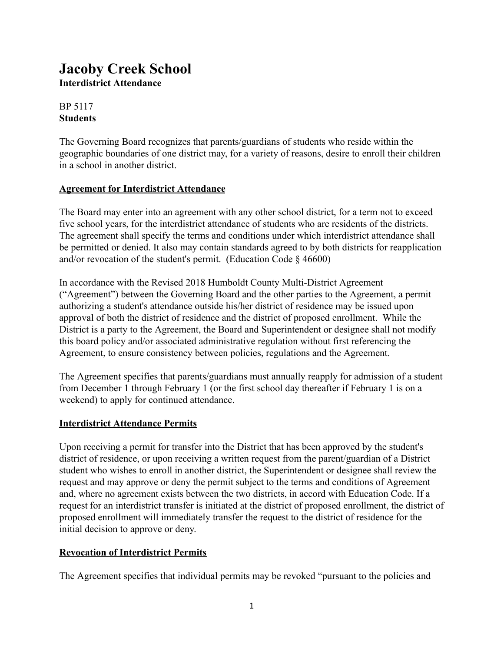# **Jacoby Creek School Interdistrict Attendance**

## BP 5117 **Students**

The Governing Board recognizes that parents/guardians of students who reside within the geographic boundaries of one district may, for a variety of reasons, desire to enroll their children in a school in another district.

## **Agreement for Interdistrict Attendance**

The Board may enter into an agreement with any other school district, for a term not to exceed five school years, for the interdistrict attendance of students who are residents of the districts. The agreement shall specify the terms and conditions under which interdistrict attendance shall be permitted or denied. It also may contain standards agreed to by both districts for reapplication and/or revocation of the student's permit. (Education Code § 46600)

In accordance with the Revised 2018 Humboldt County Multi-District Agreement ("Agreement") between the Governing Board and the other parties to the Agreement, a permit authorizing a student's attendance outside his/her district of residence may be issued upon approval of both the district of residence and the district of proposed enrollment. While the District is a party to the Agreement, the Board and Superintendent or designee shall not modify this board policy and/or associated administrative regulation without first referencing the Agreement, to ensure consistency between policies, regulations and the Agreement.

The Agreement specifies that parents/guardians must annually reapply for admission of a student from December 1 through February 1 (or the first school day thereafter if February 1 is on a weekend) to apply for continued attendance.

## **Interdistrict Attendance Permits**

Upon receiving a permit for transfer into the District that has been approved by the student's district of residence, or upon receiving a written request from the parent/guardian of a District student who wishes to enroll in another district, the Superintendent or designee shall review the request and may approve or deny the permit subject to the terms and conditions of Agreement and, where no agreement exists between the two districts, in accord with Education Code. If a request for an interdistrict transfer is initiated at the district of proposed enrollment, the district of proposed enrollment will immediately transfer the request to the district of residence for the initial decision to approve or deny.

## **Revocation of Interdistrict Permits**

The Agreement specifies that individual permits may be revoked "pursuant to the policies and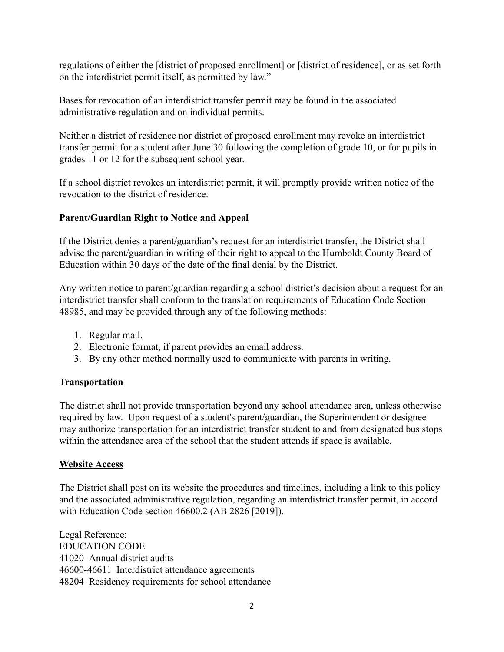regulations of either the [district of proposed enrollment] or [district of residence], or as set forth on the interdistrict permit itself, as permitted by law."

Bases for revocation of an interdistrict transfer permit may be found in the associated administrative regulation and on individual permits.

Neither a district of residence nor district of proposed enrollment may revoke an interdistrict transfer permit for a student after June 30 following the completion of grade 10, or for pupils in grades 11 or 12 for the subsequent school year.

If a school district revokes an interdistrict permit, it will promptly provide written notice of the revocation to the district of residence.

#### **Parent/Guardian Right to Notice and Appeal**

If the District denies a parent/guardian's request for an interdistrict transfer, the District shall advise the parent/guardian in writing of their right to appeal to the Humboldt County Board of Education within 30 days of the date of the final denial by the District.

Any written notice to parent/guardian regarding a school district's decision about a request for an interdistrict transfer shall conform to the translation requirements of Education Code Section 48985, and may be provided through any of the following methods:

- 1. Regular mail.
- 2. Electronic format, if parent provides an email address.
- 3. By any other method normally used to communicate with parents in writing.

#### **Transportation**

The district shall not provide transportation beyond any school attendance area, unless otherwise required by law. Upon request of a student's parent/guardian, the Superintendent or designee may authorize transportation for an interdistrict transfer student to and from designated bus stops within the attendance area of the school that the student attends if space is available.

#### **Website Access**

The District shall post on its website the procedures and timelines, including a link to this policy and the associated administrative regulation, regarding an interdistrict transfer permit, in accord with Education Code section 46600.2 (AB 2826 [2019]).

Legal Reference: EDUCATION CODE 41020 Annual district audits 46600-46611 Interdistrict attendance agreements 48204 Residency requirements for school attendance